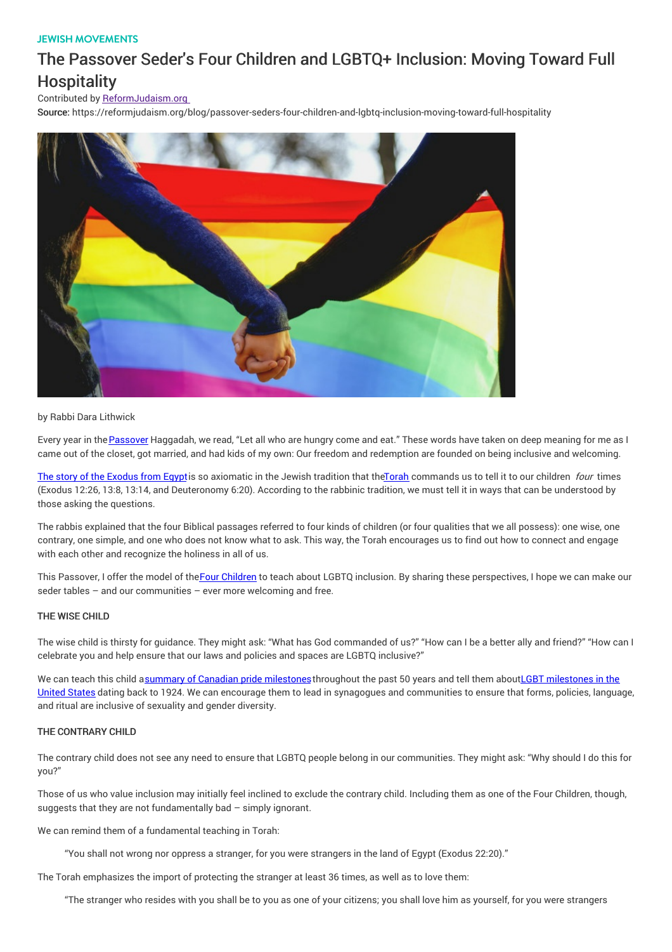## JEWISH MOVEMENTS

# The Passover Seder's Four Children and LGBTQ+ Inclusion: Moving Toward Full **Hospitality**

## Contributed by ReformJudaism.org

Source: https://reformjudaism.org/blog/passover-seders-four-children-and-lgbtq-inclusion-moving-toward-full-hospitality



#### by Rabbi Dara Lithwick

Every year in the [Passover](http://www.reformjudaism.org/jewish-holidays/passover) Haggadah, we read, "Let all who are hungry come and eat." These words have taken on deep meaning for me as I came out of the closet, got married, and had kids of my own: Our freedom and redemption are founded on being inclusive and welcoming.

The story of the [Exodus](https://reformjudaism.org/jewish-holidays/passover/story-passover-greatest-escape) from Egyptis so axiomatic in the Jewish tradition that the Torah commands us to tell it to our children four times (Exodus 12:26, 13:8, 13:14, and Deuteronomy 6:20). According to the rabbinic tradition, we must tell it in ways that can be understood by those asking the questions.

The rabbis explained that the four Biblical passages referred to four kinds of children (or four qualities that we all possess): one wise, one contrary, one simple, and one who does not know what to ask. This way, the Torah encourages us to find out how to connect and engage with each other and recognize the holiness in all of us.

This Passover, I offer the model of theFour [Children](https://reformjudaism.org/jewish-holidays/passover/lessons-four-children-seder) to teach about LGBTQ inclusion. By sharing these perspectives, I hope we can make our seder tables – and our communities – ever more welcoming and free.

## THE WISE CHILD

The wise child is thirsty for guidance. They might ask: "What has God commanded of us?" "How can I be a better ally and friend?" "How can I celebrate you and help ensure that our laws and policies and spaces are LGBTQ inclusive?"

We can teach this child asummary of Canadian pride [milestone](https://www.queerevents.ca/canada/pride/history)s throughout the past 50 years and tell them aboutLGBT milestones in the United States dating back to 1924. We can encourage them to lead in synagogues and communities to ensure that forms, policies, language, and ritual are inclusive of sexuality and gender diversity.

#### THE CONTRARY CHILD

The contrary child does not see any need to ensure that LGBTQ people belong in our communities. They might ask: "Why should I do this for you?"

Those of us who value inclusion may initially feel inclined to exclude the contrary child. Including them as one of the Four Children, though, suggests that they are not fundamentally bad – simply ignorant.

We can remind them of a fundamental teaching in Torah:

"You shall not wrong nor oppress a stranger, for you were strangers in the land of Egypt (Exodus 22:20)."

The Torah emphasizes the import of protecting the stranger at least 36 times, as well as to love them:

"The stranger who resides with you shall be to you as one of your citizens; you shall love him as yourself, for you were strangers